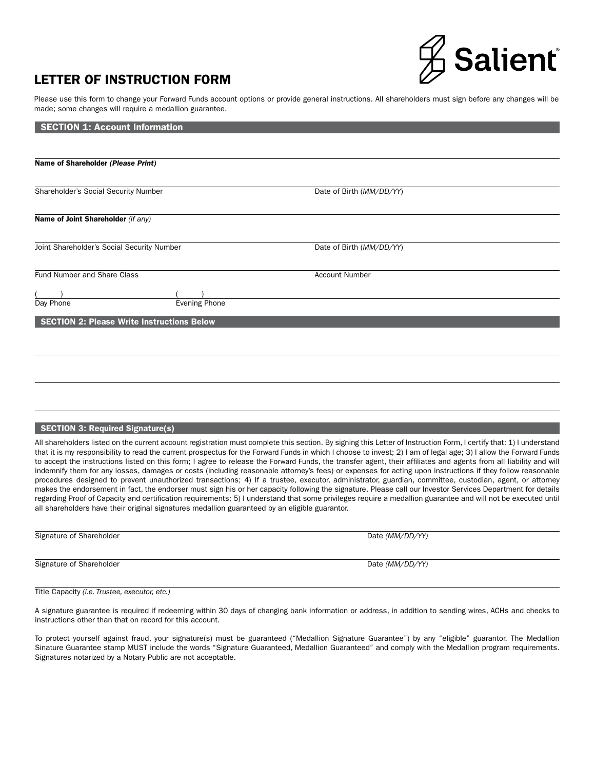# **Salient**®

# LETTER OF INSTRUCTION FORM

Please use this form to change your Forward Funds account options or provide general instructions. All shareholders must sign before any changes will be made; some changes will require a medallion guarantee.

| <b>SECTION 1: Account Information</b>             |                          |  |
|---------------------------------------------------|--------------------------|--|
|                                                   |                          |  |
| Name of Shareholder (Please Print)                |                          |  |
|                                                   |                          |  |
| Shareholder's Social Security Number              | Date of Birth (MM/DD/YY) |  |
|                                                   |                          |  |
| Name of Joint Shareholder (if any)                |                          |  |
|                                                   |                          |  |
| Joint Shareholder's Social Security Number        | Date of Birth (MM/DD/YY) |  |
|                                                   |                          |  |
| Fund Number and Share Class                       | <b>Account Number</b>    |  |
|                                                   |                          |  |
| <b>Evening Phone</b><br>Day Phone                 |                          |  |
| <b>SECTION 2: Please Write Instructions Below</b> |                          |  |
|                                                   |                          |  |
|                                                   |                          |  |
|                                                   |                          |  |
|                                                   |                          |  |
|                                                   |                          |  |
|                                                   |                          |  |

#### SECTION 3: Required Signature(s)

All shareholders listed on the current account registration must complete this section. By signing this Letter of Instruction Form, I certify that: 1) I understand that it is my responsibility to read the current prospectus for the Forward Funds in which I choose to invest; 2) I am of legal age; 3) I allow the Forward Funds to accept the instructions listed on this form; I agree to release the Forward Funds, the transfer agent, their affiliates and agents from all liability and will indemnify them for any losses, damages or costs (including reasonable attorney's fees) or expenses for acting upon instructions if they follow reasonable procedures designed to prevent unauthorized transactions; 4) If a trustee, executor, administrator, guardian, committee, custodian, agent, or attorney makes the endorsement in fact, the endorser must sign his or her capacity following the signature. Please call our Investor Services Department for details regarding Proof of Capacity and certification requirements; 5) I understand that some privileges require a medallion guarantee and will not be executed until all shareholders have their original signatures medallion guaranteed by an eligible guarantor.

Signature of Shareholder **Date** *(MM/DD/YY)* Date *(MM/DD/YY)* 

Signature of Shareholder **Date** *(MM/DD/YY)* Date *(MM/DD/YY)* 

Title Capacity *(i.e. Trustee, executor, etc.)*

A signature guarantee is required if redeeming within 30 days of changing bank information or address, in addition to sending wires, ACHs and checks to instructions other than that on record for this account.

To protect yourself against fraud, your signature(s) must be guaranteed ("Medallion Signature Guarantee") by any "eligible" guarantor. The Medallion Sinature Guarantee stamp MUST include the words "Signature Guaranteed, Medallion Guaranteed" and comply with the Medallion program requirements. Signatures notarized by a Notary Public are not acceptable.